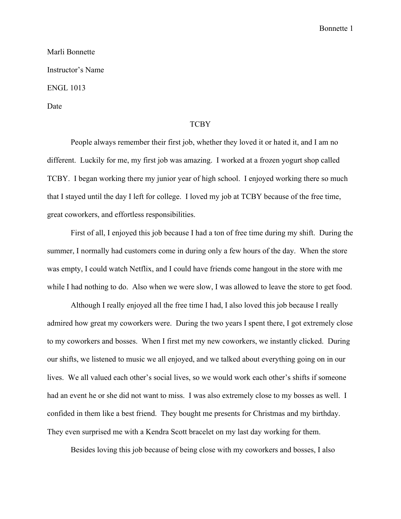## Marli Bonnette Instructor's Name ENGL 1013 Date

## **TCBY**

People always remember their first job, whether they loved it or hated it, and I am no different. Luckily for me, my first job was amazing. I worked at a frozen yogurt shop called TCBY. I began working there my junior year of high school. I enjoyed working there so much that I stayed until the day I left for college. I loved my job at TCBY because of the free time, great coworkers, and effortless responsibilities.

First of all, I enjoyed this job because I had a ton of free time during my shift. During the summer, I normally had customers come in during only a few hours of the day. When the store was empty, I could watch Netflix, and I could have friends come hangout in the store with me while I had nothing to do. Also when we were slow, I was allowed to leave the store to get food.

Although I really enjoyed all the free time I had, I also loved this job because I really admired how great my coworkers were. During the two years I spent there, I got extremely close to my coworkers and bosses. When I first met my new coworkers, we instantly clicked. During our shifts, we listened to music we all enjoyed, and we talked about everything going on in our lives. We all valued each other's social lives, so we would work each other's shifts if someone had an event he or she did not want to miss. I was also extremely close to my bosses as well. I confided in them like a best friend. They bought me presents for Christmas and my birthday. They even surprised me with a Kendra Scott bracelet on my last day working for them.

Besides loving this job because of being close with my coworkers and bosses, I also